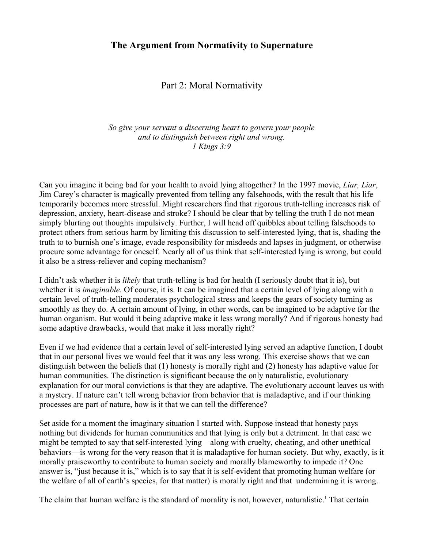Part 2: Moral Normativity

*So give your servant a discerning heart to govern your people and to distinguish between right and wrong. 1 Kings 3:9*

Can you imagine it being bad for your health to avoid lying altogether? In the 1997 movie, *Liar, Liar*, Jim Carey's character is magically prevented from telling any falsehoods, with the result that his life temporarily becomes more stressful. Might researchers find that rigorous truth-telling increases risk of depression, anxiety, heart-disease and stroke? I should be clear that by telling the truth I do not mean simply blurting out thoughts impulsively. Further, I will head off quibbles about telling falsehoods to protect others from serious harm by limiting this discussion to self-interested lying, that is, shading the truth to to burnish one's image, evade responsibility for misdeeds and lapses in judgment, or otherwise procure some advantage for oneself. Nearly all of us think that self-interested lying is wrong, but could it also be a stress-reliever and coping mechanism?

I didn't ask whether it is *likely* that truth-telling is bad for health (I seriously doubt that it is), but whether it is *imaginable.* Of course, it is. It can be imagined that a certain level of lying along with a certain level of truth-telling moderates psychological stress and keeps the gears of society turning as smoothly as they do. A certain amount of lying, in other words, can be imagined to be adaptive for the human organism. But would it being adaptive make it less wrong morally? And if rigorous honesty had some adaptive drawbacks, would that make it less morally right?

Even if we had evidence that a certain level of self-interested lying served an adaptive function, I doubt that in our personal lives we would feel that it was any less wrong. This exercise shows that we can distinguish between the beliefs that (1) honesty is morally right and (2) honesty has adaptive value for human communities. The distinction is significant because the only naturalistic, evolutionary explanation for our moral convictions is that they are adaptive. The evolutionary account leaves us with a mystery. If nature can't tell wrong behavior from behavior that is maladaptive, and if our thinking processes are part of nature, how is it that we can tell the difference?

Set aside for a moment the imaginary situation I started with. Suppose instead that honesty pays nothing but dividends for human communities and that lying is only but a detriment. In that case we might be tempted to say that self-interested lying—along with cruelty, cheating, and other unethical behaviors—is wrong for the very reason that it is maladaptive for human society. But why, exactly, is it morally praiseworthy to contribute to human society and morally blameworthy to impede it? One answer is, "just because it is," which is to say that it is self-evident that promoting human welfare (or the welfare of all of earth's species, for that matter) is morally right and that undermining it is wrong.

The claim that human welfare is the standard of morality is not, however, naturalistic.<sup>[1](#page-3-0)</sup> That certain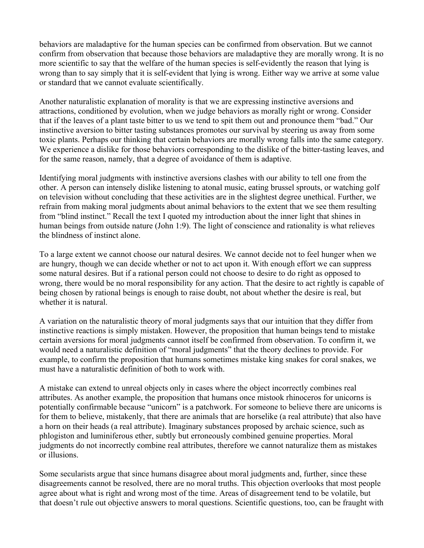behaviors are maladaptive for the human species can be confirmed from observation. But we cannot confirm from observation that because those behaviors are maladaptive they are morally wrong. It is no more scientific to say that the welfare of the human species is self-evidently the reason that lying is wrong than to say simply that it is self-evident that lying is wrong. Either way we arrive at some value or standard that we cannot evaluate scientifically.

Another naturalistic explanation of morality is that we are expressing instinctive aversions and attractions, conditioned by evolution, when we judge behaviors as morally right or wrong. Consider that if the leaves of a plant taste bitter to us we tend to spit them out and pronounce them "bad." Our instinctive aversion to bitter tasting substances promotes our survival by steering us away from some toxic plants. Perhaps our thinking that certain behaviors are morally wrong falls into the same category. We experience a dislike for those behaviors corresponding to the dislike of the bitter-tasting leaves, and for the same reason, namely, that a degree of avoidance of them is adaptive.

Identifying moral judgments with instinctive aversions clashes with our ability to tell one from the other. A person can intensely dislike listening to atonal music, eating brussel sprouts, or watching golf on television without concluding that these activities are in the slightest degree unethical. Further, we refrain from making moral judgments about animal behaviors to the extent that we see them resulting from "blind instinct." Recall the text I quoted my introduction about the inner light that shines in human beings from outside nature (John 1:9). The light of conscience and rationality is what relieves the blindness of instinct alone.

To a large extent we cannot choose our natural desires. We cannot decide not to feel hunger when we are hungry, though we can decide whether or not to act upon it. With enough effort we can suppress some natural desires. But if a rational person could not choose to desire to do right as opposed to wrong, there would be no moral responsibility for any action. That the desire to act rightly is capable of being chosen by rational beings is enough to raise doubt, not about whether the desire is real, but whether it is natural.

A variation on the naturalistic theory of moral judgments says that our intuition that they differ from instinctive reactions is simply mistaken. However, the proposition that human beings tend to mistake certain aversions for moral judgments cannot itself be confirmed from observation. To confirm it, we would need a naturalistic definition of "moral judgments" that the theory declines to provide. For example, to confirm the proposition that humans sometimes mistake king snakes for coral snakes, we must have a naturalistic definition of both to work with.

A mistake can extend to unreal objects only in cases where the object incorrectly combines real attributes. As another example, the proposition that humans once mistook rhinoceros for unicorns is potentially confirmable because "unicorn" is a patchwork. For someone to believe there are unicorns is for them to believe, mistakenly, that there are animals that are horselike (a real attribute) that also have a horn on their heads (a real attribute). Imaginary substances proposed by archaic science, such as phlogiston and luminiferous ether, subtly but erroneously combined genuine properties. Moral judgments do not incorrectly combine real attributes, therefore we cannot naturalize them as mistakes or illusions.

Some secularists argue that since humans disagree about moral judgments and, further, since these disagreements cannot be resolved, there are no moral truths. This objection overlooks that most people agree about what is right and wrong most of the time. Areas of disagreement tend to be volatile, but that doesn't rule out objective answers to moral questions. Scientific questions, too, can be fraught with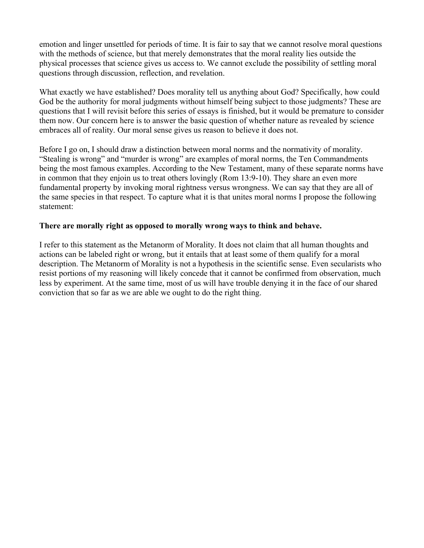emotion and linger unsettled for periods of time. It is fair to say that we cannot resolve moral questions with the methods of science, but that merely demonstrates that the moral reality lies outside the physical processes that science gives us access to. We cannot exclude the possibility of settling moral questions through discussion, reflection, and revelation.

What exactly we have established? Does morality tell us anything about God? Specifically, how could God be the authority for moral judgments without himself being subject to those judgments? These are questions that I will revisit before this series of essays is finished, but it would be premature to consider them now. Our concern here is to answer the basic question of whether nature as revealed by science embraces all of reality. Our moral sense gives us reason to believe it does not.

Before I go on, I should draw a distinction between moral norms and the normativity of morality. "Stealing is wrong" and "murder is wrong" are examples of moral norms, the Ten Commandments being the most famous examples. According to the New Testament, many of these separate norms have in common that they enjoin us to treat others lovingly (Rom 13:9-10). They share an even more fundamental property by invoking moral rightness versus wrongness. We can say that they are all of the same species in that respect. To capture what it is that unites moral norms I propose the following statement:

## **There are morally right as opposed to morally wrong ways to think and behave.**

I refer to this statement as the Metanorm of Morality. It does not claim that all human thoughts and actions can be labeled right or wrong, but it entails that at least some of them qualify for a moral description. The Metanorm of Morality is not a hypothesis in the scientific sense. Even secularists who resist portions of my reasoning will likely concede that it cannot be confirmed from observation, much less by experiment. At the same time, most of us will have trouble denying it in the face of our shared conviction that so far as we are able we ought to do the right thing.